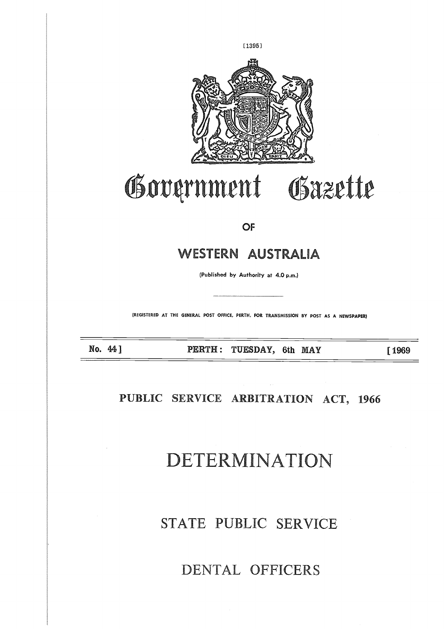

# Government Gazette

#### **OF**

### WESTERN AUSTRALIA

(Published by Authority at 4.0 p.m.)

**(REGISTERED AT THE GENERAL POST OFFICE, PERTH, FOR TRANSMISSION BY POST AS A NEWSPAPER)**

**No. 44 ] PERTH : TUESDAY, 6th MAY [1969**

**PUBLIC SERVICE ARBITRATION ACT, 1966**

# DETERMINATION

# STATE PUBLIC SERVICE

## DENTAL OFFICERS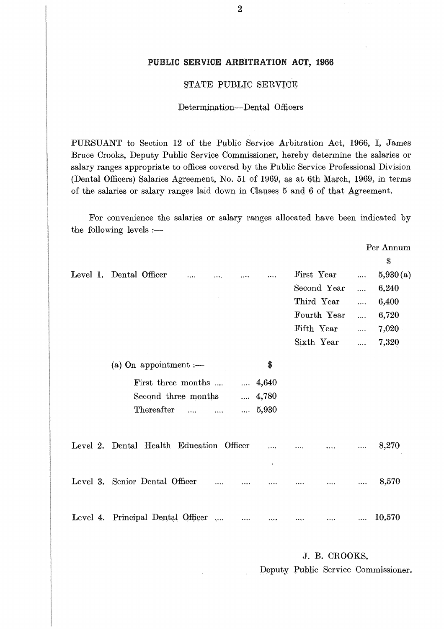#### **PUBLIC SERVICE ARBITRATION ACT, 1966**

#### STATE PUBLIC SERVICE

#### Determination—Dental Officers

PURSUANT to Section 12 of the Public Service Arbitration Act, 1966, I, James Bruce Crooks, Deputy Public Service Commissioner, hereby determine the salaries or salary ranges appropriate to offices covered by the Public Service Professional Division (Dental Officers) Salaries Agreement, No. 51 of 1969, as at 6th March, 1969, in terms of the salaries or salary ranges laid down in Clauses 5 and 6 of that Agreement.

| Bruce Crooks, Deputy Public Service Commissioner, hereby determine the salaries or<br>salary ranges appropriate to offices covered by the Public Service Professional Division<br>(Dental Officers) Salaries Agreement, No. 51 of 1969, as at 6th March, 1969, in terms<br>of the salaries or salary ranges laid down in Clauses 5 and 6 of that Agreement.<br>For convenience the salaries or salary ranges allocated have been indicated by |             |                      |
|-----------------------------------------------------------------------------------------------------------------------------------------------------------------------------------------------------------------------------------------------------------------------------------------------------------------------------------------------------------------------------------------------------------------------------------------------|-------------|----------------------|
| the following levels $:$ $-$                                                                                                                                                                                                                                                                                                                                                                                                                  |             |                      |
|                                                                                                                                                                                                                                                                                                                                                                                                                                               |             | Per Annum<br>\$      |
| Level 1. Dental Officer                                                                                                                                                                                                                                                                                                                                                                                                                       | First Year  | 5,930(a)<br>$\cdots$ |
|                                                                                                                                                                                                                                                                                                                                                                                                                                               | Second Year | 6,240<br>.           |
|                                                                                                                                                                                                                                                                                                                                                                                                                                               | Third Year  | 6,400<br>$\cdots$    |
|                                                                                                                                                                                                                                                                                                                                                                                                                                               | Fourth Year | 6,720<br>            |
|                                                                                                                                                                                                                                                                                                                                                                                                                                               | Fifth Year  | 7,020<br>$\cdots$    |
|                                                                                                                                                                                                                                                                                                                                                                                                                                               | Sixth Year  | 7,320<br>$\cdots$    |
| \$<br>(a) On appointment $:$ $-$                                                                                                                                                                                                                                                                                                                                                                                                              |             |                      |
| First three months<br>$\dots 4,640$                                                                                                                                                                                                                                                                                                                                                                                                           |             |                      |
| Second three months<br>4,780                                                                                                                                                                                                                                                                                                                                                                                                                  |             |                      |
| Thereafter<br>5,930<br>$\cdots$                                                                                                                                                                                                                                                                                                                                                                                                               |             |                      |
| Level 2. Dental Health Education Officer                                                                                                                                                                                                                                                                                                                                                                                                      |             | 8,270                |
| Level 3. Senior Dental Officer                                                                                                                                                                                                                                                                                                                                                                                                                |             | 8,570                |
| Level 4. Principal Dental Officer       10,570                                                                                                                                                                                                                                                                                                                                                                                                |             |                      |
|                                                                                                                                                                                                                                                                                                                                                                                                                                               |             |                      |

J. B. CROOKS, Deputy Public Service Commissioner.